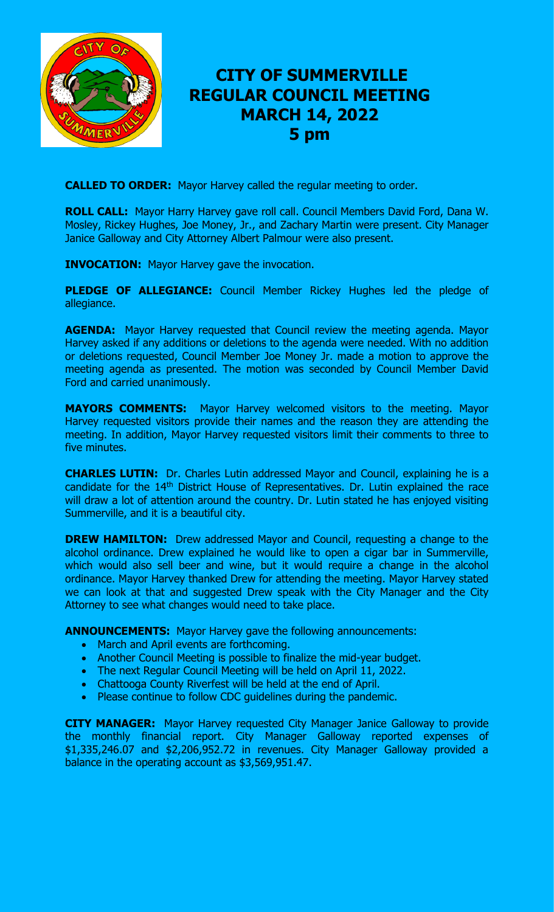

# **CITY OF SUMMERVILLE REGULAR COUNCIL MEETING MARCH 14, 2022 5 pm**

**CALLED TO ORDER:** Mayor Harvey called the regular meeting to order.

**ROLL CALL:** Mayor Harry Harvey gave roll call. Council Members David Ford, Dana W. Mosley, Rickey Hughes, Joe Money, Jr., and Zachary Martin were present. City Manager Janice Galloway and City Attorney Albert Palmour were also present.

**INVOCATION:** Mayor Harvey gave the invocation.

**PLEDGE OF ALLEGIANCE:** Council Member Rickey Hughes led the pledge of allegiance.

**AGENDA:** Mayor Harvey requested that Council review the meeting agenda. Mayor Harvey asked if any additions or deletions to the agenda were needed. With no addition or deletions requested, Council Member Joe Money Jr. made a motion to approve the meeting agenda as presented. The motion was seconded by Council Member David Ford and carried unanimously.

**MAYORS COMMENTS:** Mayor Harvey welcomed visitors to the meeting. Mayor Harvey requested visitors provide their names and the reason they are attending the meeting. In addition, Mayor Harvey requested visitors limit their comments to three to five minutes.

**CHARLES LUTIN:** Dr. Charles Lutin addressed Mayor and Council, explaining he is a candidate for the 14<sup>th</sup> District House of Representatives. Dr. Lutin explained the race will draw a lot of attention around the country. Dr. Lutin stated he has enjoyed visiting Summerville, and it is a beautiful city.

**DREW HAMILTON:** Drew addressed Mayor and Council, requesting a change to the alcohol ordinance. Drew explained he would like to open a cigar bar in Summerville, which would also sell beer and wine, but it would require a change in the alcohol ordinance. Mayor Harvey thanked Drew for attending the meeting. Mayor Harvey stated we can look at that and suggested Drew speak with the City Manager and the City Attorney to see what changes would need to take place.

**ANNOUNCEMENTS:** Mayor Harvey gave the following announcements:

- March and April events are forthcoming.
- Another Council Meeting is possible to finalize the mid-year budget.
- The next Regular Council Meeting will be held on April 11, 2022.
- Chattooga County Riverfest will be held at the end of April.
- Please continue to follow CDC quidelines during the pandemic.

**CITY MANAGER:** Mayor Harvey requested City Manager Janice Galloway to provide the monthly financial report. City Manager Galloway reported expenses of \$1,335,246.07 and \$2,206,952.72 in revenues. City Manager Galloway provided a balance in the operating account as \$3,569,951.47.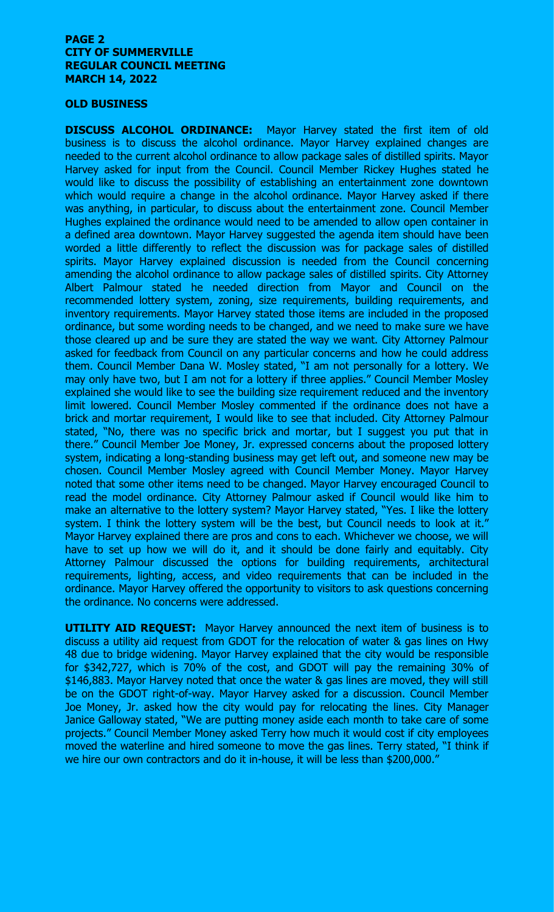#### **PAGE 2 CITY OF SUMMERVILLE REGULAR COUNCIL MEETING MARCH 14, 2022**

#### **OLD BUSINESS**

**DISCUSS ALCOHOL ORDINANCE:** Mayor Harvey stated the first item of old business is to discuss the alcohol ordinance. Mayor Harvey explained changes are needed to the current alcohol ordinance to allow package sales of distilled spirits. Mayor Harvey asked for input from the Council. Council Member Rickey Hughes stated he would like to discuss the possibility of establishing an entertainment zone downtown which would require a change in the alcohol ordinance. Mayor Harvey asked if there was anything, in particular, to discuss about the entertainment zone. Council Member Hughes explained the ordinance would need to be amended to allow open container in a defined area downtown. Mayor Harvey suggested the agenda item should have been worded a little differently to reflect the discussion was for package sales of distilled spirits. Mayor Harvey explained discussion is needed from the Council concerning amending the alcohol ordinance to allow package sales of distilled spirits. City Attorney Albert Palmour stated he needed direction from Mayor and Council on the recommended lottery system, zoning, size requirements, building requirements, and inventory requirements. Mayor Harvey stated those items are included in the proposed ordinance, but some wording needs to be changed, and we need to make sure we have those cleared up and be sure they are stated the way we want. City Attorney Palmour asked for feedback from Council on any particular concerns and how he could address them. Council Member Dana W. Mosley stated, "I am not personally for a lottery. We may only have two, but I am not for a lottery if three applies." Council Member Mosley explained she would like to see the building size requirement reduced and the inventory limit lowered. Council Member Mosley commented if the ordinance does not have a brick and mortar requirement, I would like to see that included. City Attorney Palmour stated, "No, there was no specific brick and mortar, but I suggest you put that in there." Council Member Joe Money, Jr. expressed concerns about the proposed lottery system, indicating a long-standing business may get left out, and someone new may be chosen. Council Member Mosley agreed with Council Member Money. Mayor Harvey noted that some other items need to be changed. Mayor Harvey encouraged Council to read the model ordinance. City Attorney Palmour asked if Council would like him to make an alternative to the lottery system? Mayor Harvey stated, "Yes. I like the lottery system. I think the lottery system will be the best, but Council needs to look at it." Mayor Harvey explained there are pros and cons to each. Whichever we choose, we will have to set up how we will do it, and it should be done fairly and equitably. City Attorney Palmour discussed the options for building requirements, architectural requirements, lighting, access, and video requirements that can be included in the ordinance. Mayor Harvey offered the opportunity to visitors to ask questions concerning the ordinance. No concerns were addressed.

**UTILITY AID REQUEST:** Mayor Harvey announced the next item of business is to discuss a utility aid request from GDOT for the relocation of water & gas lines on Hwy 48 due to bridge widening. Mayor Harvey explained that the city would be responsible for \$342,727, which is 70% of the cost, and GDOT will pay the remaining 30% of \$146,883. Mayor Harvey noted that once the water & gas lines are moved, they will still be on the GDOT right-of-way. Mayor Harvey asked for a discussion. Council Member Joe Money, Jr. asked how the city would pay for relocating the lines. City Manager Janice Galloway stated, "We are putting money aside each month to take care of some projects." Council Member Money asked Terry how much it would cost if city employees moved the waterline and hired someone to move the gas lines. Terry stated, "I think if we hire our own contractors and do it in-house, it will be less than \$200,000."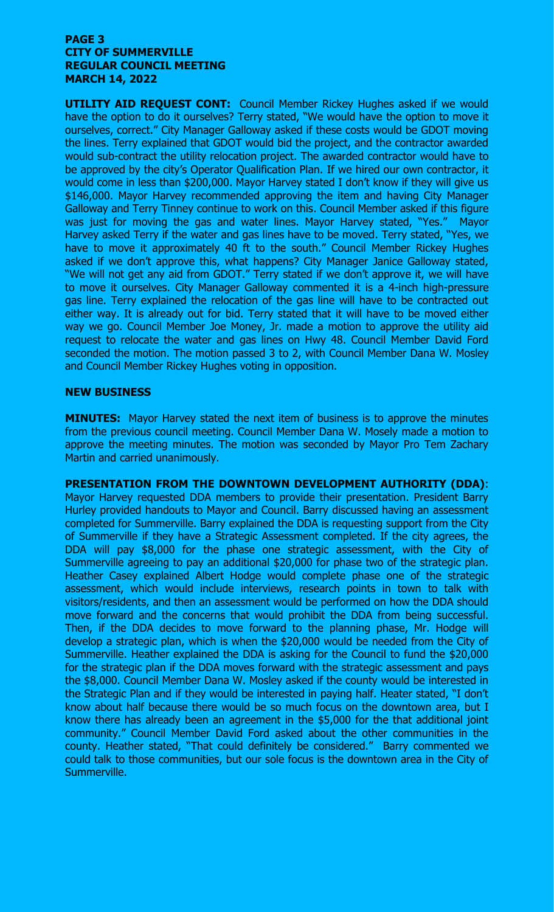#### **PAGE 3 CITY OF SUMMERVILLE REGULAR COUNCIL MEETING MARCH 14, 2022**

**UTILITY AID REQUEST CONT:** Council Member Rickey Hughes asked if we would have the option to do it ourselves? Terry stated, "We would have the option to move it ourselves, correct." City Manager Galloway asked if these costs would be GDOT moving the lines. Terry explained that GDOT would bid the project, and the contractor awarded would sub-contract the utility relocation project. The awarded contractor would have to be approved by the city's Operator Qualification Plan. If we hired our own contractor, it would come in less than \$200,000. Mayor Harvey stated I don't know if they will give us \$146,000. Mayor Harvey recommended approving the item and having City Manager Galloway and Terry Tinney continue to work on this. Council Member asked if this figure was just for moving the gas and water lines. Mayor Harvey stated, "Yes." Mayor Harvey asked Terry if the water and gas lines have to be moved. Terry stated, "Yes, we have to move it approximately 40 ft to the south." Council Member Rickey Hughes asked if we don't approve this, what happens? City Manager Janice Galloway stated, "We will not get any aid from GDOT." Terry stated if we don't approve it, we will have to move it ourselves. City Manager Galloway commented it is a 4-inch high-pressure gas line. Terry explained the relocation of the gas line will have to be contracted out either way. It is already out for bid. Terry stated that it will have to be moved either way we go. Council Member Joe Money, Jr. made a motion to approve the utility aid request to relocate the water and gas lines on Hwy 48. Council Member David Ford seconded the motion. The motion passed 3 to 2, with Council Member Dana W. Mosley and Council Member Rickey Hughes voting in opposition.

### **NEW BUSINESS**

**MINUTES:** Mayor Harvey stated the next item of business is to approve the minutes from the previous council meeting. Council Member Dana W. Mosely made a motion to approve the meeting minutes. The motion was seconded by Mayor Pro Tem Zachary Martin and carried unanimously.

**PRESENTATION FROM THE DOWNTOWN DEVELOPMENT AUTHORITY (DDA)**: Mayor Harvey requested DDA members to provide their presentation. President Barry Hurley provided handouts to Mayor and Council. Barry discussed having an assessment completed for Summerville. Barry explained the DDA is requesting support from the City of Summerville if they have a Strategic Assessment completed. If the city agrees, the DDA will pay \$8,000 for the phase one strategic assessment, with the City of Summerville agreeing to pay an additional \$20,000 for phase two of the strategic plan. Heather Casey explained Albert Hodge would complete phase one of the strategic assessment, which would include interviews, research points in town to talk with visitors/residents, and then an assessment would be performed on how the DDA should move forward and the concerns that would prohibit the DDA from being successful. Then, if the DDA decides to move forward to the planning phase, Mr. Hodge will develop a strategic plan, which is when the \$20,000 would be needed from the City of Summerville. Heather explained the DDA is asking for the Council to fund the \$20,000 for the strategic plan if the DDA moves forward with the strategic assessment and pays the \$8,000. Council Member Dana W. Mosley asked if the county would be interested in the Strategic Plan and if they would be interested in paying half. Heater stated, "I don't know about half because there would be so much focus on the downtown area, but I know there has already been an agreement in the \$5,000 for the that additional joint community." Council Member David Ford asked about the other communities in the county. Heather stated, "That could definitely be considered." Barry commented we could talk to those communities, but our sole focus is the downtown area in the City of Summerville.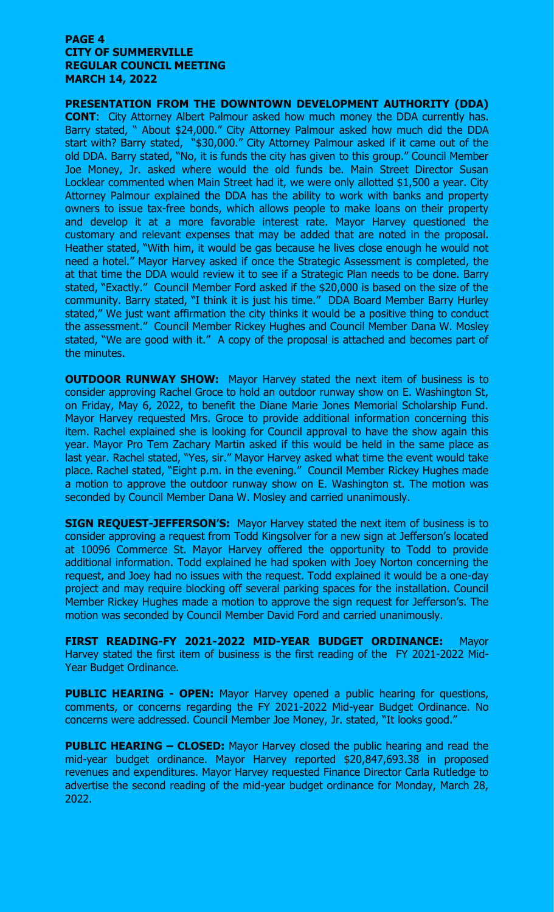#### **PAGE 4 CITY OF SUMMERVILLE REGULAR COUNCIL MEETING MARCH 14, 2022**

**PRESENTATION FROM THE DOWNTOWN DEVELOPMENT AUTHORITY (DDA) CONT**: City Attorney Albert Palmour asked how much money the DDA currently has. Barry stated, " About \$24,000." City Attorney Palmour asked how much did the DDA start with? Barry stated, "\$30,000." City Attorney Palmour asked if it came out of the old DDA. Barry stated, "No, it is funds the city has given to this group." Council Member Joe Money, Jr. asked where would the old funds be. Main Street Director Susan Locklear commented when Main Street had it, we were only allotted \$1,500 a year. City Attorney Palmour explained the DDA has the ability to work with banks and property owners to issue tax-free bonds, which allows people to make loans on their property and develop it at a more favorable interest rate. Mayor Harvey questioned the customary and relevant expenses that may be added that are noted in the proposal. Heather stated, "With him, it would be gas because he lives close enough he would not need a hotel." Mayor Harvey asked if once the Strategic Assessment is completed, the at that time the DDA would review it to see if a Strategic Plan needs to be done. Barry stated, "Exactly." Council Member Ford asked if the \$20,000 is based on the size of the community. Barry stated, "I think it is just his time." DDA Board Member Barry Hurley stated," We just want affirmation the city thinks it would be a positive thing to conduct the assessment." Council Member Rickey Hughes and Council Member Dana W. Mosley stated, "We are good with it." A copy of the proposal is attached and becomes part of the minutes.

**OUTDOOR RUNWAY SHOW:** Mayor Harvey stated the next item of business is to consider approving Rachel Groce to hold an outdoor runway show on E. Washington St, on Friday, May 6, 2022, to benefit the Diane Marie Jones Memorial Scholarship Fund. Mayor Harvey requested Mrs. Groce to provide additional information concerning this item. Rachel explained she is looking for Council approval to have the show again this year. Mayor Pro Tem Zachary Martin asked if this would be held in the same place as last year. Rachel stated, "Yes, sir." Mayor Harvey asked what time the event would take place. Rachel stated, "Eight p.m. in the evening." Council Member Rickey Hughes made a motion to approve the outdoor runway show on E. Washington st. The motion was seconded by Council Member Dana W. Mosley and carried unanimously.

**SIGN REQUEST-JEFFERSON'S:** Mayor Harvey stated the next item of business is to consider approving a request from Todd Kingsolver for a new sign at Jefferson's located at 10096 Commerce St. Mayor Harvey offered the opportunity to Todd to provide additional information. Todd explained he had spoken with Joey Norton concerning the request, and Joey had no issues with the request. Todd explained it would be a one-day project and may require blocking off several parking spaces for the installation. Council Member Rickey Hughes made a motion to approve the sign request for Jefferson's. The motion was seconded by Council Member David Ford and carried unanimously.

**FIRST READING-FY 2021-2022 MID-YEAR BUDGET ORDINANCE:** Mayor Harvey stated the first item of business is the first reading of the FY 2021-2022 Mid-Year Budget Ordinance.

**PUBLIC HEARING - OPEN:** Mayor Harvey opened a public hearing for questions, comments, or concerns regarding the FY 2021-2022 Mid-year Budget Ordinance. No concerns were addressed. Council Member Joe Money, Jr. stated, "It looks good."

**PUBLIC HEARING – CLOSED:** Mayor Harvey closed the public hearing and read the mid-year budget ordinance. Mayor Harvey reported \$20,847,693.38 in proposed revenues and expenditures. Mayor Harvey requested Finance Director Carla Rutledge to advertise the second reading of the mid-year budget ordinance for Monday, March 28, 2022.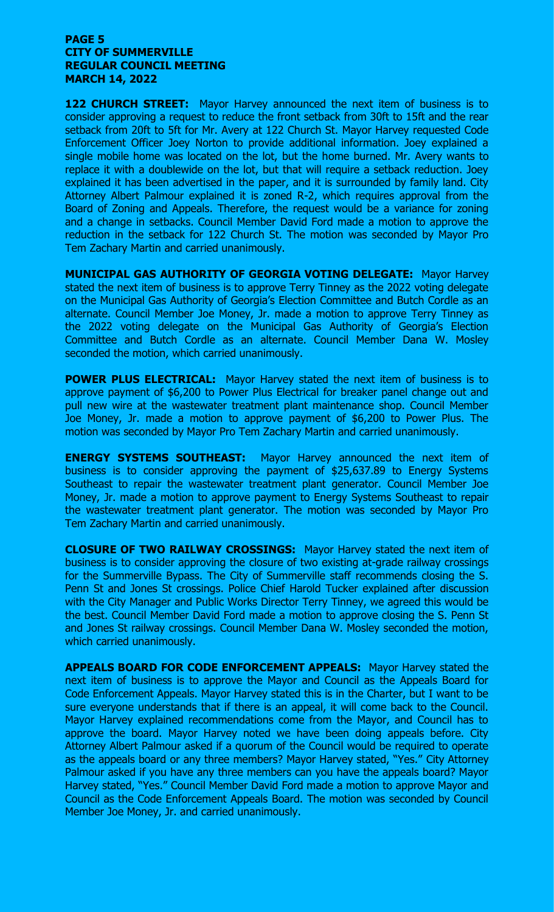#### **PAGE 5 CITY OF SUMMERVILLE REGULAR COUNCIL MEETING MARCH 14, 2022**

**122 CHURCH STREET:** Mayor Harvey announced the next item of business is to consider approving a request to reduce the front setback from 30ft to 15ft and the rear setback from 20ft to 5ft for Mr. Avery at 122 Church St. Mayor Harvey requested Code Enforcement Officer Joey Norton to provide additional information. Joey explained a single mobile home was located on the lot, but the home burned. Mr. Avery wants to replace it with a doublewide on the lot, but that will require a setback reduction. Joey explained it has been advertised in the paper, and it is surrounded by family land. City Attorney Albert Palmour explained it is zoned R-2, which requires approval from the Board of Zoning and Appeals. Therefore, the request would be a variance for zoning and a change in setbacks. Council Member David Ford made a motion to approve the reduction in the setback for 122 Church St. The motion was seconded by Mayor Pro Tem Zachary Martin and carried unanimously.

**MUNICIPAL GAS AUTHORITY OF GEORGIA VOTING DELEGATE:** Mayor Harvey stated the next item of business is to approve Terry Tinney as the 2022 voting delegate on the Municipal Gas Authority of Georgia's Election Committee and Butch Cordle as an alternate. Council Member Joe Money, Jr. made a motion to approve Terry Tinney as the 2022 voting delegate on the Municipal Gas Authority of Georgia's Election Committee and Butch Cordle as an alternate. Council Member Dana W. Mosley seconded the motion, which carried unanimously.

**POWER PLUS ELECTRICAL:** Mayor Harvey stated the next item of business is to approve payment of \$6,200 to Power Plus Electrical for breaker panel change out and pull new wire at the wastewater treatment plant maintenance shop. Council Member Joe Money, Jr. made a motion to approve payment of \$6,200 to Power Plus. The motion was seconded by Mayor Pro Tem Zachary Martin and carried unanimously.

**ENERGY SYSTEMS SOUTHEAST:** Mayor Harvey announced the next item of business is to consider approving the payment of \$25,637.89 to Energy Systems Southeast to repair the wastewater treatment plant generator. Council Member Joe Money, Jr. made a motion to approve payment to Energy Systems Southeast to repair the wastewater treatment plant generator. The motion was seconded by Mayor Pro Tem Zachary Martin and carried unanimously.

**CLOSURE OF TWO RAILWAY CROSSINGS:** Mayor Harvey stated the next item of business is to consider approving the closure of two existing at-grade railway crossings for the Summerville Bypass. The City of Summerville staff recommends closing the S. Penn St and Jones St crossings. Police Chief Harold Tucker explained after discussion with the City Manager and Public Works Director Terry Tinney, we agreed this would be the best. Council Member David Ford made a motion to approve closing the S. Penn St and Jones St railway crossings. Council Member Dana W. Mosley seconded the motion, which carried unanimously.

**APPEALS BOARD FOR CODE ENFORCEMENT APPEALS:** Mayor Harvey stated the next item of business is to approve the Mayor and Council as the Appeals Board for Code Enforcement Appeals. Mayor Harvey stated this is in the Charter, but I want to be sure everyone understands that if there is an appeal, it will come back to the Council. Mayor Harvey explained recommendations come from the Mayor, and Council has to approve the board. Mayor Harvey noted we have been doing appeals before. City Attorney Albert Palmour asked if a quorum of the Council would be required to operate as the appeals board or any three members? Mayor Harvey stated, "Yes." City Attorney Palmour asked if you have any three members can you have the appeals board? Mayor Harvey stated, "Yes." Council Member David Ford made a motion to approve Mayor and Council as the Code Enforcement Appeals Board. The motion was seconded by Council Member Joe Money, Jr. and carried unanimously.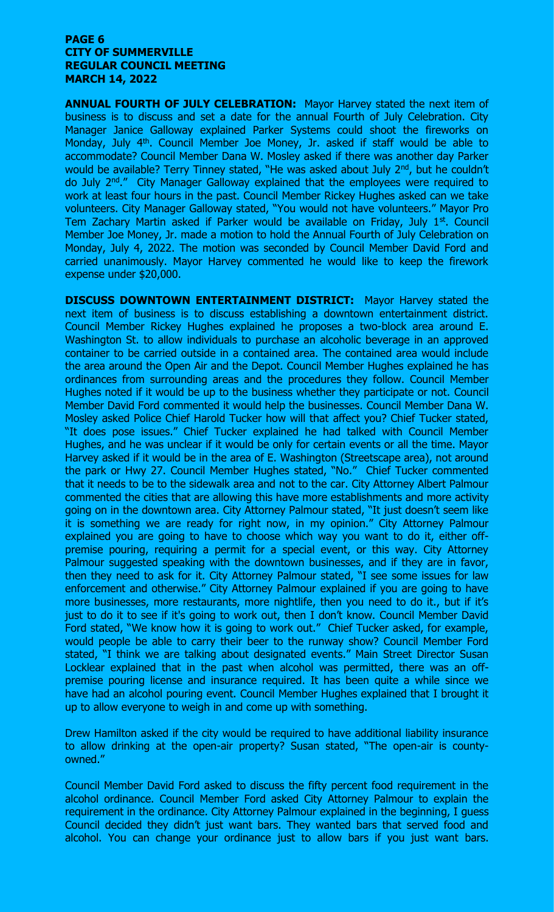#### **PAGE 6 CITY OF SUMMERVILLE REGULAR COUNCIL MEETING MARCH 14, 2022**

**ANNUAL FOURTH OF JULY CELEBRATION:** Mayor Harvey stated the next item of business is to discuss and set a date for the annual Fourth of July Celebration. City Manager Janice Galloway explained Parker Systems could shoot the fireworks on Monday, July 4<sup>th</sup>. Council Member Joe Money, Jr. asked if staff would be able to accommodate? Council Member Dana W. Mosley asked if there was another day Parker would be available? Terry Tinney stated, "He was asked about July 2<sup>nd</sup>, but he couldn't do July 2<sup>nd</sup>." City Manager Galloway explained that the employees were required to work at least four hours in the past. Council Member Rickey Hughes asked can we take volunteers. City Manager Galloway stated, "You would not have volunteers." Mayor Pro Tem Zachary Martin asked if Parker would be available on Friday, July 1<sup>st</sup>. Council Member Joe Money, Jr. made a motion to hold the Annual Fourth of July Celebration on Monday, July 4, 2022. The motion was seconded by Council Member David Ford and carried unanimously. Mayor Harvey commented he would like to keep the firework expense under \$20,000.

**DISCUSS DOWNTOWN ENTERTAINMENT DISTRICT:** Mayor Harvey stated the next item of business is to discuss establishing a downtown entertainment district. Council Member Rickey Hughes explained he proposes a two-block area around E. Washington St. to allow individuals to purchase an alcoholic beverage in an approved container to be carried outside in a contained area. The contained area would include the area around the Open Air and the Depot. Council Member Hughes explained he has ordinances from surrounding areas and the procedures they follow. Council Member Hughes noted if it would be up to the business whether they participate or not. Council Member David Ford commented it would help the businesses. Council Member Dana W. Mosley asked Police Chief Harold Tucker how will that affect you? Chief Tucker stated, "It does pose issues." Chief Tucker explained he had talked with Council Member Hughes, and he was unclear if it would be only for certain events or all the time. Mayor Harvey asked if it would be in the area of E. Washington (Streetscape area), not around the park or Hwy 27. Council Member Hughes stated, "No." Chief Tucker commented that it needs to be to the sidewalk area and not to the car. City Attorney Albert Palmour commented the cities that are allowing this have more establishments and more activity going on in the downtown area. City Attorney Palmour stated, "It just doesn't seem like it is something we are ready for right now, in my opinion." City Attorney Palmour explained you are going to have to choose which way you want to do it, either offpremise pouring, requiring a permit for a special event, or this way. City Attorney Palmour suggested speaking with the downtown businesses, and if they are in favor, then they need to ask for it. City Attorney Palmour stated, "I see some issues for law enforcement and otherwise." City Attorney Palmour explained if you are going to have more businesses, more restaurants, more nightlife, then you need to do it., but if it's just to do it to see if it's going to work out, then I don't know. Council Member David Ford stated, "We know how it is going to work out." Chief Tucker asked, for example, would people be able to carry their beer to the runway show? Council Member Ford stated, "I think we are talking about designated events." Main Street Director Susan Locklear explained that in the past when alcohol was permitted, there was an offpremise pouring license and insurance required. It has been quite a while since we have had an alcohol pouring event. Council Member Hughes explained that I brought it up to allow everyone to weigh in and come up with something.

Drew Hamilton asked if the city would be required to have additional liability insurance to allow drinking at the open-air property? Susan stated, "The open-air is countyowned."

Council Member David Ford asked to discuss the fifty percent food requirement in the alcohol ordinance. Council Member Ford asked City Attorney Palmour to explain the requirement in the ordinance. City Attorney Palmour explained in the beginning, I guess Council decided they didn't just want bars. They wanted bars that served food and alcohol. You can change your ordinance just to allow bars if you just want bars.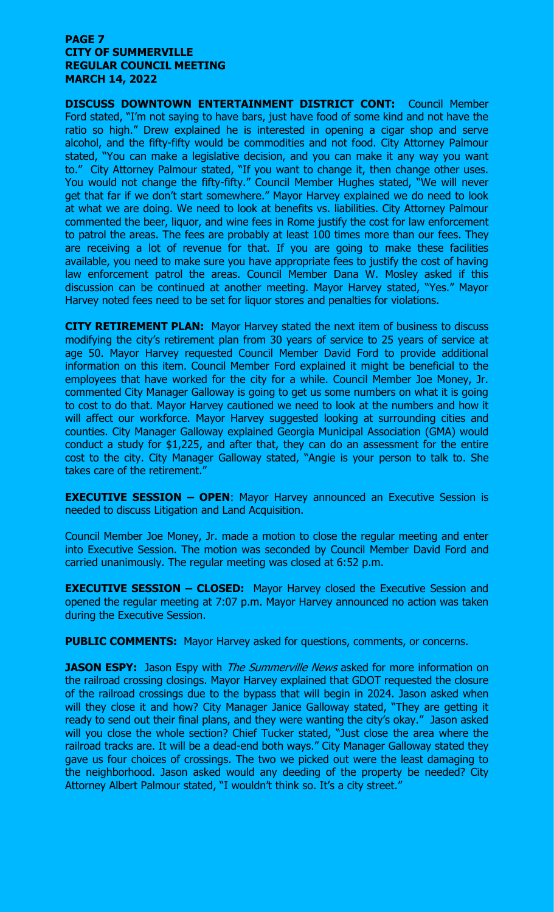#### **PAGE 7 CITY OF SUMMERVILLE REGULAR COUNCIL MEETING MARCH 14, 2022**

**DISCUSS DOWNTOWN ENTERTAINMENT DISTRICT CONT:** Council Member Ford stated, "I'm not saying to have bars, just have food of some kind and not have the ratio so high." Drew explained he is interested in opening a cigar shop and serve alcohol, and the fifty-fifty would be commodities and not food. City Attorney Palmour stated, "You can make a legislative decision, and you can make it any way you want to." City Attorney Palmour stated, "If you want to change it, then change other uses. You would not change the fifty-fifty." Council Member Hughes stated, "We will never get that far if we don't start somewhere." Mayor Harvey explained we do need to look at what we are doing. We need to look at benefits vs. liabilities. City Attorney Palmour commented the beer, liquor, and wine fees in Rome justify the cost for law enforcement to patrol the areas. The fees are probably at least 100 times more than our fees. They are receiving a lot of revenue for that. If you are going to make these facilities available, you need to make sure you have appropriate fees to justify the cost of having law enforcement patrol the areas. Council Member Dana W. Mosley asked if this discussion can be continued at another meeting. Mayor Harvey stated, "Yes." Mayor Harvey noted fees need to be set for liquor stores and penalties for violations.

**CITY RETIREMENT PLAN:** Mayor Harvey stated the next item of business to discuss modifying the city's retirement plan from 30 years of service to 25 years of service at age 50. Mayor Harvey requested Council Member David Ford to provide additional information on this item. Council Member Ford explained it might be beneficial to the employees that have worked for the city for a while. Council Member Joe Money, Jr. commented City Manager Galloway is going to get us some numbers on what it is going to cost to do that. Mayor Harvey cautioned we need to look at the numbers and how it will affect our workforce. Mayor Harvey suggested looking at surrounding cities and counties. City Manager Galloway explained Georgia Municipal Association (GMA) would conduct a study for \$1,225, and after that, they can do an assessment for the entire cost to the city. City Manager Galloway stated, "Angie is your person to talk to. She takes care of the retirement."

**EXECUTIVE SESSION – OPEN**: Mayor Harvey announced an Executive Session is needed to discuss Litigation and Land Acquisition.

Council Member Joe Money, Jr. made a motion to close the regular meeting and enter into Executive Session. The motion was seconded by Council Member David Ford and carried unanimously. The regular meeting was closed at 6:52 p.m.

**EXECUTIVE SESSION – CLOSED:** Mayor Harvey closed the Executive Session and opened the regular meeting at 7:07 p.m. Mayor Harvey announced no action was taken during the Executive Session.

**PUBLIC COMMENTS:** Mayor Harvey asked for questions, comments, or concerns.

**JASON ESPY:** Jason Espy with *The Summerville News* asked for more information on the railroad crossing closings. Mayor Harvey explained that GDOT requested the closure of the railroad crossings due to the bypass that will begin in 2024. Jason asked when will they close it and how? City Manager Janice Galloway stated, "They are getting it ready to send out their final plans, and they were wanting the city's okay." Jason asked will you close the whole section? Chief Tucker stated, "Just close the area where the railroad tracks are. It will be a dead-end both ways." City Manager Galloway stated they gave us four choices of crossings. The two we picked out were the least damaging to the neighborhood. Jason asked would any deeding of the property be needed? City Attorney Albert Palmour stated, "I wouldn't think so. It's a city street."